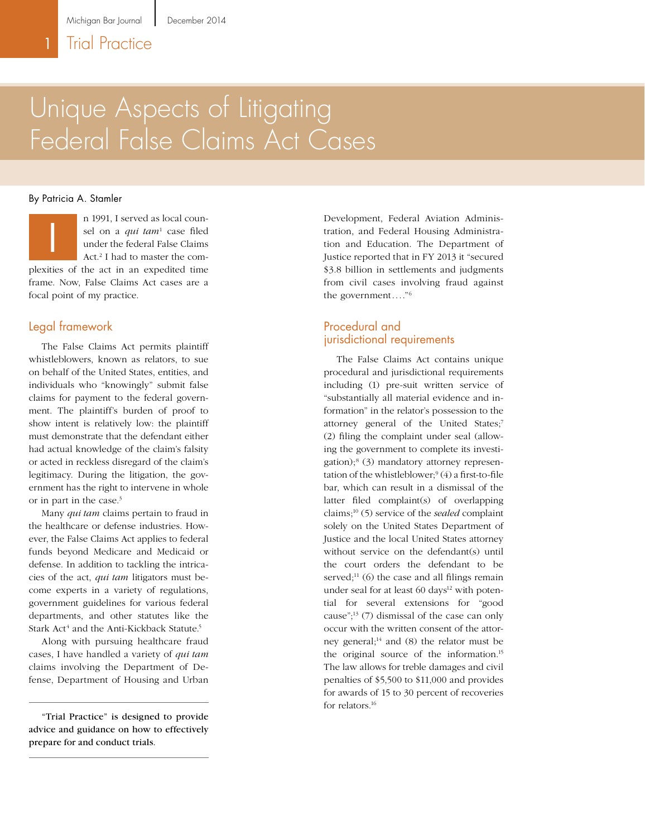# Unique Aspects of Litigating Federal False Claims Act Cases

#### By Patricia A. Stamler



n 1991, I served as local counsel on a *qui tam*<sup>1</sup> case filed under the federal False Claims Act.<sup>2</sup> I had to master the com-

plexities of the act in an expedited time frame. Now, False Claims Act cases are a focal point of my practice.

#### Legal framework

The False Claims Act permits plaintiff whistleblowers, known as relators, to sue on behalf of the United States, entities, and individuals who "knowingly" submit false claims for payment to the federal government. The plaintiff's burden of proof to show intent is relatively low: the plaintiff must demonstrate that the defendant either had actual knowledge of the claim's falsity or acted in reckless disregard of the claim's legitimacy. During the litigation, the government has the right to intervene in whole or in part in the case.3

Many *qui tam* claims pertain to fraud in the healthcare or defense industries. However, the False Claims Act applies to federal funds beyond Medicare and Medicaid or defense. In addition to tackling the intricacies of the act, *qui tam* litigators must become experts in a variety of regulations, government guidelines for various federal departments, and other statutes like the Stark Act<sup>4</sup> and the Anti-Kickback Statute.<sup>5</sup>

Along with pursuing healthcare fraud cases, I have handled a variety of *qui tam* claims involving the Department of Defense, Department of Housing and Urban

"Trial Practice" is designed to provide advice and guidance on how to effectively prepare for and conduct trials.

n 1991, I served as local coun-<br>
sel on a *qui tam*<sup>1</sup> case filed<br>
under the federal False Claims<br>
Act.<sup>2</sup> I had to master the com-<br>
lustice reported that in FY 2013 it "secured tration, and Federal Housing Administration and Education. The Department of Justice reported that in FY 2013 it "secured \$3.8 billion in settlements and judgments from civil cases involving fraud against the government...."6

#### Procedural and jurisdictional requirements

The False Claims Act contains unique procedural and jurisdictional requirements including (1) pre-suit written service of "substantially all material evidence and information" in the relator's possession to the attorney general of the United States;7 (2) filing the complaint under seal (allowing the government to complete its investigation);8 (3) mandatory attorney representation of the whistleblower;9 (4) a first-to-file bar, which can result in a dismissal of the latter filed complaint(s) of overlapping claims;10 (5) service of the *sealed* complaint solely on the United States Department of Justice and the local United States attorney without service on the defendant(s) until the court orders the defendant to be served; $^{11}$  (6) the case and all filings remain under seal for at least  $60 \text{ days}^{12}$  with potential for several extensions for "good cause";13 (7) dismissal of the case can only occur with the written consent of the attorney general; $^{14}$  and (8) the relator must be the original source of the information.15 The law allows for treble damages and civil penalties of \$5,500 to \$11,000 and provides for awards of 15 to 30 percent of recoveries for relators.16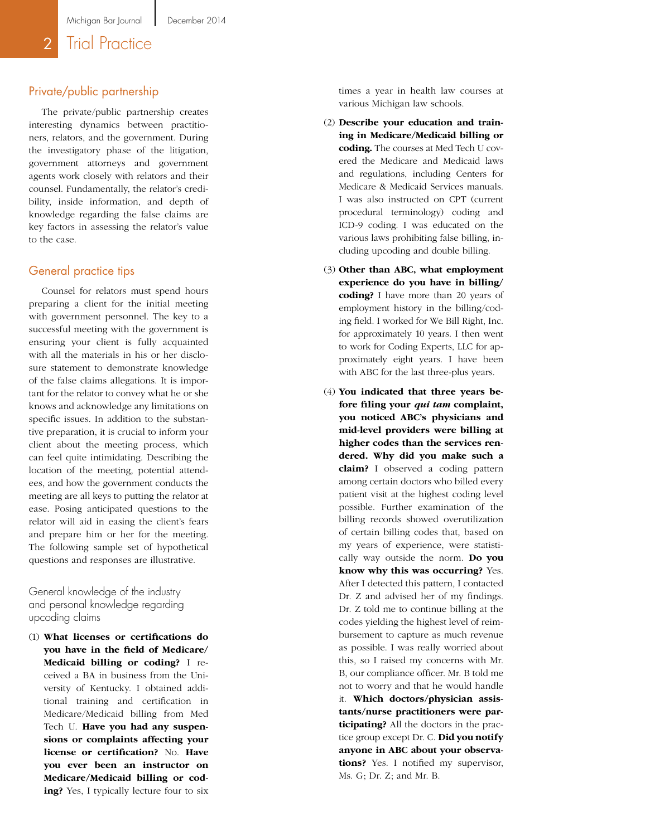### 2 Trial Practice

#### Private/public partnership

The private/public partnership creates interesting dynamics between practitio ners, relators, and the government. During the investigatory phase of the litigation, government attorneys and government agents work closely with relators and their counsel. Fundamentally, the relator's credi bility, inside information, and depth of knowledge regarding the false claims are key factors in assessing the relator's value to the case.

#### General practice tips

Counsel for relators must spend hours preparing a client for the initial meeting with government personnel. The key to a successful meeting with the government is ensuring your client is fully acquainted with all the materials in his or her disclo sure statement to demonstrate knowledge of the false claims allegations. It is impor tant for the relator to convey what he or she knows and acknowledge any limitations on specific issues. In addition to the substan tive preparation, it is crucial to inform your client about the meeting process, which can feel quite intimidating. Describing the location of the meeting, potential attend ees, and how the government conducts the meeting are all keys to putting the relator at ease. Posing anticipated questions to the relator will aid in easing the client's fears and prepare him or her for the meeting. The following sample set of hypothetical questions and responses are illustrative.

General knowledge of the industry and personal knowledge regarding upcoding claims

(1) **What licenses or certifications do you have in the field of Medicare/ Medicaid billing or coding?** I re ceived a BA in business from the Uni versity of Kentucky. I obtained addi tional training and certification in Medicare/Medicaid billing from Med Tech U. **Have you had any suspen sions or complaints affecting your license or certification?** No. **Have you ever been an instructor on Medicare/Medicaid billing or cod ing?** Yes, I typically lecture four to six

times a year in health law courses at various Michigan law schools.

- (2) **Describe your education and train ing in Medicare/Medicaid billing or coding.** The courses at Med Tech U covered the Medicare and Medicaid laws and regulations, including Centers for Medicare & Medicaid Services manuals. I was also instructed on CPT (current procedural terminology) coding and ICD-9 coding. I was educated on the various laws prohibiting false billing, in cluding upcoding and double billing.
- (3) **Other than ABC, what employment experience do you have in billing/ coding?** I have more than 20 years of employment history in the billing/cod ing field. I worked for We Bill Right, Inc. for approximately 10 years. I then went to work for Coding Experts, LLC for ap proximately eight years. I have been with ABC for the last three-plus years.
- (4) **You indicated that three years be fore filing your** *qui tam* **complaint, you noticed ABC's physicians and mid-level providers were billing at higher codes than the services ren dered. Why did you make such a claim?** I observed a coding pattern among certain doctors who billed every patient visit at the highest coding level possible. Further examination of the billing records showed overutilization of certain billing codes that, based on my years of experience, were statisti cally way outside the norm. **Do you know why this was occurring?** Yes. After I detected this pattern, I contacted Dr. Z and advised her of my findings. Dr. Z told me to continue billing at the codes yielding the highest level of reim bursement to capture as much revenue as possible. I was really worried about this, so I raised my concerns with Mr. B, our compliance officer. Mr. B told me not to worry and that he would handle it. **Which doctors/physician assis tants/nurse practitioners were par ticipating?** All the doctors in the prac tice group except Dr. C. **Did you notify anyone in ABC about your observa tions?** Yes. I notified my supervisor, Ms. G; Dr. Z; and Mr. B.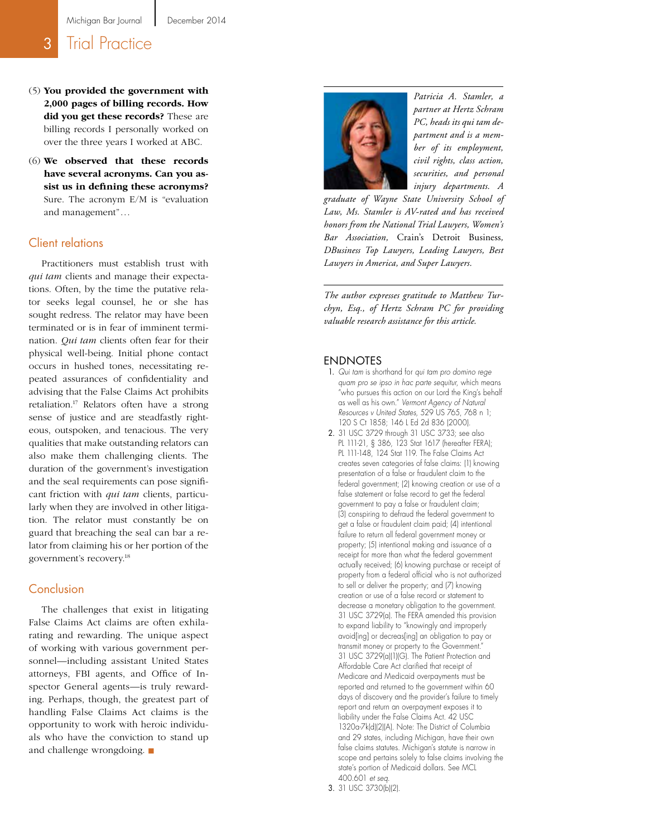### **3** Trial Practice

- (5) **You provided the government with 2,000 pages of billing records. How did you get these records?** These are billing records I personally worked on over the three years I worked at ABC.
- (6) **We observed that these records have several acronyms. Can you as sist us in defining these acronyms?** Sure. The acronym E/M is "evaluation and management"...

#### Client relations

Practitioners must establish trust with *qui tam* clients and manage their expecta tions. Often, by the time the putative rela tor seeks legal counsel, he or she has sought redress. The relator may have been terminated or is in fear of imminent termi nation. *Qui tam* clients often fear for their physical well-being. Initial phone contact occurs in hushed tones, necessitating re peated assurances of confidentiality and advising that the False Claims Act prohibits retaliation.17 Relators often have a strong sense of justice and are steadfastly right eous, outspoken, and tenacious. The very qualities that make outstanding relators can also make them challenging clients. The duration of the government's investigation and the seal requirements can pose signifi cant friction with *qui tam* clients, particu larly when they are involved in other litiga tion. The relator must constantly be on guard that breaching the seal can bar a re lator from claiming his or her portion of the government's recovery.18

#### Conclusion

The challenges that exist in litigating False Claims Act claims are often exhila rating and rewarding. The unique aspect of working with various government per sonnel—including assistant United States attorneys, FBI agents, and Office of In spector General agents—is truly reward ing. Perhaps, though, the greatest part of handling False Claims Act claims is the opportunity to work with heroic individu als who have the conviction to stand up and challenge wrongdoing.



*Patricia A. Stamler, a partner at Hertz Schram PC, heads its qui tam de partment and is a mem ber of its employment, civil rights, class action, securities, and personal injury departments. A* 

*graduate of Wayne State University School of Law, Ms. Stamler is AV-rated and has received honors from the National Trial Lawyers, Women's Bar Association,* Crain's Detroit Business*, DBusiness Top Lawyers, Leading Lawyers, Best Lawyers in America, and Super Lawyers.*

*The author expresses gratitude to Matthew Tur chyn, Esq., of Hertz Schram PC for providing valuable research assistance for this article.*

#### ENDNOTES

- 1. *Qui tam* is shorthand for *qui tam pro domino rege quam pro se ipso in hac parte sequitur*, which means "who pursues this action on our Lord the King's behalf as well as his own." *Vermont Agency of Natural Resources v United States*, 529 US 765, 768 n 1; 120 S Ct 1858; 146 L Ed 2d 836 (2000).
- 2. 31 USC 3729 through 31 USC 3733; see also PL 111-21, § 386, 123 Stat 1617 (hereafter FERA); PL 111-148, 124 Stat 119. The False Claims Act creates seven categories of false claims: (1) knowing presentation of a false or fraudulent claim to the federal government; (2) knowing creation or use of a false statement or false record to get the federal government to pay a false or fraudulent claim; (3) conspiring to defraud the federal government to get a false or fraudulent claim paid; (4) intentional failure to return all federal government money or property; (5) intentional making and issuance of a receipt for more than what the federal government actually received; (6) knowing purchase or receipt of property from a federal official who is not authorized to sell or deliver the property; and (7) knowing creation or use of a false record or statement to decrease a monetary obligation to the government. 31 USC 3729(a). The FERA amended this provision to expand liability to "knowingly and improperly avoid[ing] or decreas[ing] an obligation to pay or transmit money or property to the Government. 31 USC 3729(a)(1)(G). The Patient Protection and Affordable Care Act clarified that receipt of Medicare and Medicaid overpayments must be reported and returned to the government within 60 days of discovery and the provider's failure to timely report and return an overpayment exposes it to liability under the False Claims Act. 42 USC 1320a-7k(d)(2)(A). Note: The District of Columbia and 29 states, including Michigan, have their own false claims statutes. Michigan's statute is narrow in scope and pertains solely to false claims involving the state's portion of Medicaid dollars. See MCL 400.601 *et seq* .

<sup>3.</sup> 31 USC 3730(b)(2).